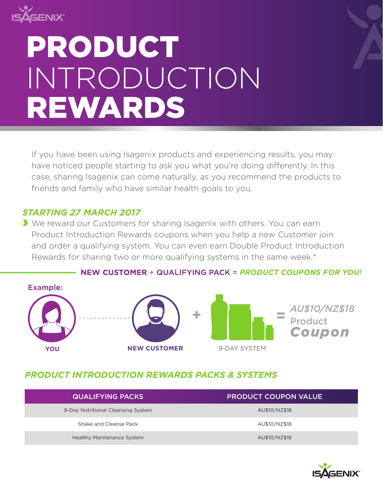

# INTRODUCTION REWARDS PRODUCT

If you have been using Isagenix products and experiencing results, you may have noticed people starting to ask you what you're doing differently. In this case, sharing Isagenix can come naturally, as you recommend the products to friends and family who have similar health goals to you.

## *STARTING 27 MARCH 2017*

We reward our Customers for sharing Isagenix with others. You can earn Product Introduction Rewards coupons when you help a new Customer join and order a qualifying system. You can even earn Double Product Introduction Rewards for sharing two or more qualifying systems in the same week.\*



### **NEW CUSTOMER** + QUALIFYING PACK = *PRODUCT COUPONS FOR YOU!*

## *PRODUCT INTRODUCTION REWARDS PACKS & SYSTEMS*

| <b>QUALIFYING PACKS</b>            | <u> IPRODUCT COUPON VALUE</u> |
|------------------------------------|-------------------------------|
| 9-Day Nutritional Cleansing System | AU\$10/NZ\$18                 |
| Shake and Cleanse Pack             | AU\$10/NZ\$18                 |
| <b>Healthy Maintenance System</b>  | AU\$10/NZ\$18                 |